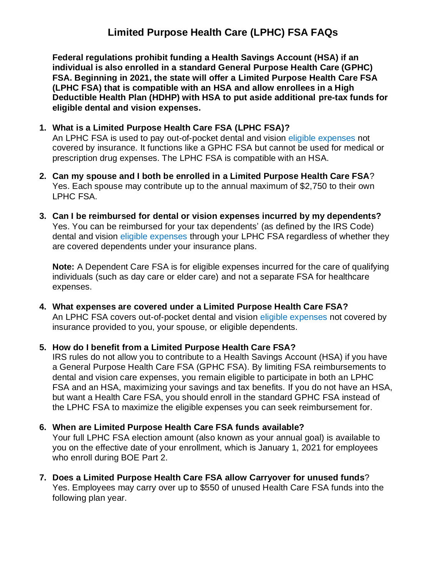# **Limited Purpose Health Care (LPHC) FSA FAQs**

**Federal regulations prohibit funding a Health Savings Account (HSA) if an individual is also enrolled in a standard General Purpose Health Care (GPHC) FSA. Beginning in 2021, the state will offer a Limited Purpose Health Care FSA (LPHC FSA) that is compatible with an HSA and allow enrollees in a High Deductible Health Plan (HDHP) with HSA to put aside additional pre-tax funds for eligible dental and vision expenses.** 

#### **1. What is a Limited Purpose Health Care FSA (LPHC FSA)?**

An LPHC FSA is used to pay out-of-pocket dental and vision [eligible expenses](https://www.wageworks.com/employees/support-center/limited-purpose-fsa-eligible-expenses-table/) not covered by insurance. It functions like a GPHC FSA but cannot be used for medical or prescription drug expenses. The LPHC FSA is compatible with an HSA.

- **2. Can my spouse and I both be enrolled in a Limited Purpose Health Care FSA**? Yes. Each spouse may contribute up to the annual maximum of \$2,750 to their own LPHC FSA.
- **3. Can I be reimbursed for dental or vision expenses incurred by my dependents?** Yes. You can be reimbursed for your tax dependents' (as defined by the IRS Code) dental and vision [eligible expenses](https://www.wageworks.com/employees/support-center/limited-purpose-fsa-eligible-expenses-table/) through your LPHC FSA regardless of whether they are covered dependents under your insurance plans.

**Note:** A Dependent Care FSA is for eligible expenses incurred for the care of qualifying individuals (such as day care or elder care) and not a separate FSA for healthcare expenses.

**4. What expenses are covered under a Limited Purpose Health Care FSA?** An LPHC FSA covers out-of-pocket dental and vision [eligible expenses](https://www.wageworks.com/employees/support-center/limited-purpose-fsa-eligible-expenses-table/) not covered by insurance provided to you, your spouse, or eligible dependents.

#### **5. How do I benefit from a Limited Purpose Health Care FSA?**

IRS rules do not allow you to contribute to a Health Savings Account (HSA) if you have a General Purpose Health Care FSA (GPHC FSA). By limiting FSA reimbursements to dental and vision care expenses, you remain eligible to participate in both an LPHC FSA and an HSA, maximizing your savings and tax benefits. If you do not have an HSA, but want a Health Care FSA, you should enroll in the standard GPHC FSA instead of the LPHC FSA to maximize the eligible expenses you can seek reimbursement for.

## **6. When are Limited Purpose Health Care FSA funds available?**

Your full LPHC FSA election amount (also known as your annual goal) is available to you on the effective date of your enrollment, which is January 1, 2021 for employees who enroll during BOE Part 2.

**7. Does a Limited Purpose Health Care FSA allow [Carryover](https://www.michigan.gov/mdcs/0,4614,7-147-96028---F,00.html) for unused funds**? Yes. Employees may carry over up to \$550 of unused Health Care FSA funds into the following plan year.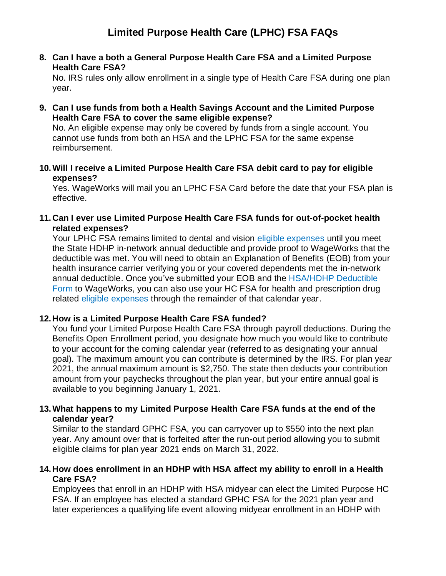**8. Can I have a both a General Purpose Health Care FSA and a Limited Purpose Health Care FSA?**

No. IRS rules only allow enrollment in a single type of Health Care FSA during one plan year.

**9. Can I use funds from both a Health Savings Account and the Limited Purpose Health Care FSA to cover the same eligible expense?**

No. An eligible expense may only be covered by funds from a single account. You cannot use funds from both an HSA and the LPHC FSA for the same expense reimbursement.

**10.Will I receive a Limited Purpose Health Care FSA debit card to pay for eligible expenses?**

Yes. WageWorks will mail you an LPHC FSA Card before the date that your FSA plan is effective.

**11. Can I ever use Limited Purpose Health Care FSA funds for out-of-pocket health related expenses?**

Your LPHC FSA remains limited to dental and vision [eligible expenses](https://www.wageworks.com/employees/support-center/limited-purpose-fsa-eligible-expenses-table/) until you meet the State HDHP in-network annual deductible and provide proof to WageWorks that the deductible was met. You will need to obtain an Explanation of Benefits (EOB) from your health insurance carrier verifying you or your covered dependents met the in-network annual deductible. Once you've submitted your EOB and the [HSA/HDHP](https://www.michigan.gov/documents/mdcs/DeductibleForm_706259_7.pdf) Deductible [Form](https://www.michigan.gov/documents/mdcs/DeductibleForm_706259_7.pdf) to WageWorks, you can also use your HC FSA for health and prescription drug related [eligible expenses](https://www.wageworks.com/employees/support-center/healthcare-fsa-eligible-expenses-table/) through the remainder of that calendar year.

## **12. How is a Limited Purpose Health Care FSA funded?**

You fund your Limited Purpose Health Care FSA through payroll deductions. During the Benefits Open Enrollment period, you designate how much you would like to contribute to your account for the coming calendar year (referred to as designating your annual goal). The maximum amount you can contribute is determined by the IRS. For plan year 2021, the annual maximum amount is \$2,750. The state then deducts your contribution amount from your paychecks throughout the plan year, but your entire annual goal is available to you beginning January 1, 2021.

## **13.What happens to my Limited Purpose Health Care FSA funds at the end of the calendar year?**

Similar to the standard GPHC FSA, you can [carryover](https://www.michigan.gov/mdcs/0,4614,7-147-96028---F,00.html) up to \$550 into the next plan year. Any amount over that is forfeited after the run-out period allowing you to submit eligible claims for plan year 2021 ends on March 31, 2022.

#### **14. How does enrollment in an HDHP with HSA affect my ability to enroll in a Health Care FSA?**

Employees that enroll in an HDHP with HSA midyear can elect the Limited Purpose HC FSA. If an employee has elected a standard GPHC FSA for the 2021 plan year and later experiences a qualifying life event allowing midyear enrollment in an HDHP with